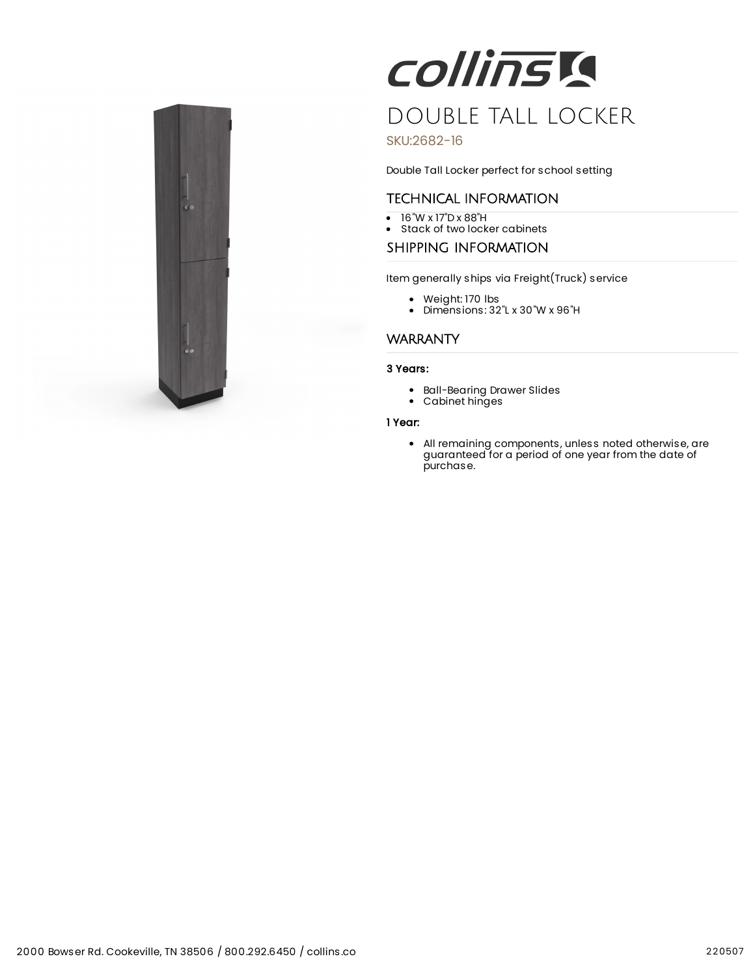

# **COllinsia** DOUBLE TALL LOCKER

# SKU:2682-16

Double Tall Locker perfect for school setting

# TECHNICAL INFORMATION

- 16"W x 17"D x 88"H
- Stack of two locker cabinets

# SHIPPING INFORMATION

Item generally ships via Freight(Truck) service

- Weight: 170 lbs
- Dimensions: 32"L x 30"W x 96"H

# **WARRANTY**

### 3 Years:

- Ball-Bearing Drawer Slides
- Cabinet hinges

#### 1 Year:

All remaining components, unless noted otherwise, are guaranteed for a period of one year from the date of purchase.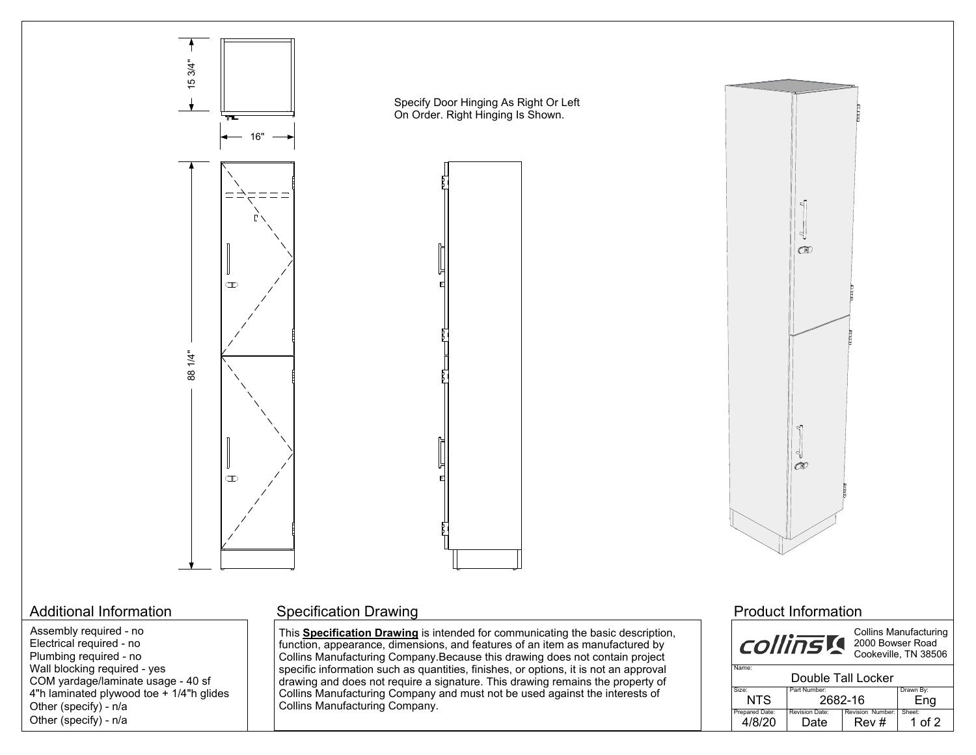